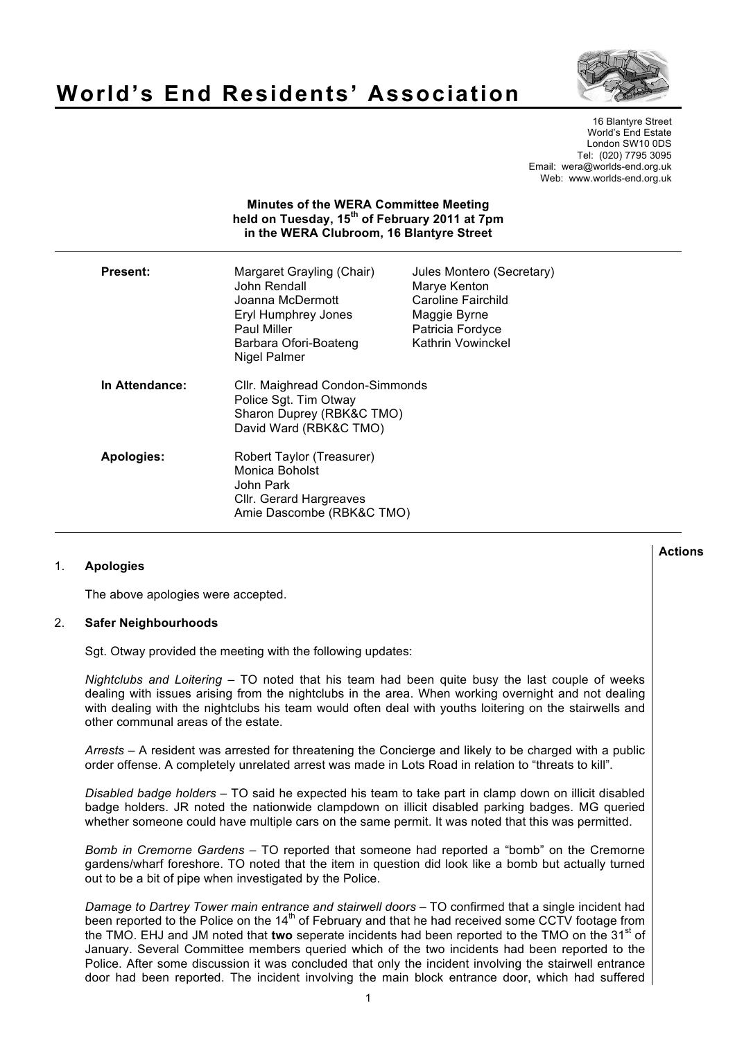#### 16 Blantyre Street World's End Estate London SW10 0DS Tel: (020) 7795 3095 Email: wera@worlds-end.org.uk Web: www.worlds-end.org.uk

# **Minutes of the WERA Committee Meeting held on Tuesday, 15th of February 2011 at 7pm in the WERA Clubroom, 16 Blantyre Street**

**World's End Residents' Association**

| Present:       | Margaret Grayling (Chair)<br>John Rendall<br>Joanna McDermott<br>Eryl Humphrey Jones<br>Paul Miller<br>Barbara Ofori-Boateng<br>Nigel Palmer | Jules Montero (Secretary)<br>Marye Kenton<br>Caroline Fairchild<br>Maggie Byrne<br>Patricia Fordyce<br>Kathrin Vowinckel |
|----------------|----------------------------------------------------------------------------------------------------------------------------------------------|--------------------------------------------------------------------------------------------------------------------------|
| In Attendance: | Cllr. Maighread Condon-Simmonds<br>Police Sgt. Tim Otway<br>Sharon Duprey (RBK&C TMO)<br>David Ward (RBK&C TMO)                              |                                                                                                                          |
| Apologies:     | Robert Taylor (Treasurer)<br>Monica Boholst<br>John Park<br>Cllr. Gerard Hargreaves<br>Amie Dascombe (RBK&C TMO)                             |                                                                                                                          |

# 1. **Apologies**

The above apologies were accepted.

# 2. **Safer Neighbourhoods**

Sgt. Otway provided the meeting with the following updates:

*Nightclubs and Loitering* – TO noted that his team had been quite busy the last couple of weeks dealing with issues arising from the nightclubs in the area. When working overnight and not dealing with dealing with the nightclubs his team would often deal with youths loitering on the stairwells and other communal areas of the estate.

*Arrests* – A resident was arrested for threatening the Concierge and likely to be charged with a public order offense. A completely unrelated arrest was made in Lots Road in relation to "threats to kill".

*Disabled badge holders* – TO said he expected his team to take part in clamp down on illicit disabled badge holders. JR noted the nationwide clampdown on illicit disabled parking badges. MG queried whether someone could have multiple cars on the same permit. It was noted that this was permitted.

*Bomb in Cremorne Gardens* – TO reported that someone had reported a "bomb" on the Cremorne gardens/wharf foreshore. TO noted that the item in question did look like a bomb but actually turned out to be a bit of pipe when investigated by the Police.

*Damage to Dartrey Tower main entrance and stairwell doors* – TO confirmed that a single incident had been reported to the Police on the 14<sup>th</sup> of February and that he had received some CCTV footage from the TMO. EHJ and JM noted that **two** seperate incidents had been reported to the TMO on the 31<sup>st</sup> of January. Several Committee members queried which of the two incidents had been reported to the Police. After some discussion it was concluded that only the incident involving the stairwell entrance door had been reported. The incident involving the main block entrance door, which had suffered

**Actions**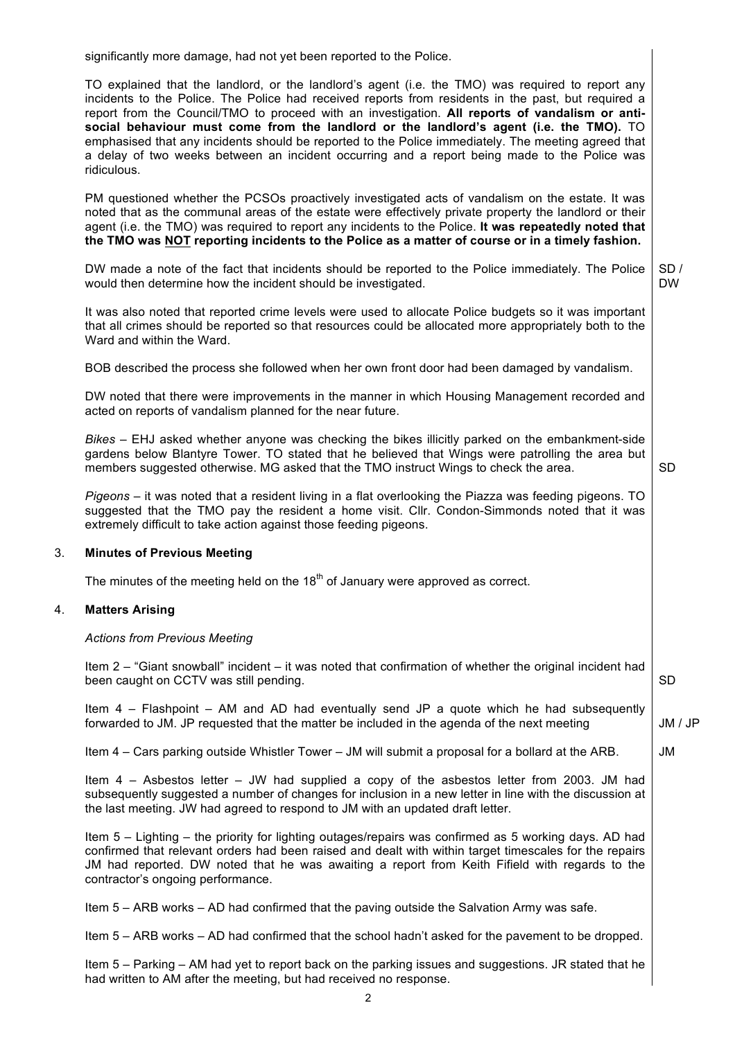significantly more damage, had not yet been reported to the Police.

TO explained that the landlord, or the landlord's agent (i.e. the TMO) was required to report any incidents to the Police. The Police had received reports from residents in the past, but required a report from the Council/TMO to proceed with an investigation. **All reports of vandalism or antisocial behaviour must come from the landlord or the landlord's agent (i.e. the TMO).** TO emphasised that any incidents should be reported to the Police immediately. The meeting agreed that a delay of two weeks between an incident occurring and a report being made to the Police was ridiculous.

PM questioned whether the PCSOs proactively investigated acts of vandalism on the estate. It was noted that as the communal areas of the estate were effectively private property the landlord or their agent (i.e. the TMO) was required to report any incidents to the Police. **It was repeatedly noted that the TMO was NOT reporting incidents to the Police as a matter of course or in a timely fashion.** 

DW made a note of the fact that incidents should be reported to the Police immediately. The Police would then determine how the incident should be investigated.  $SD/$ DW

It was also noted that reported crime levels were used to allocate Police budgets so it was important that all crimes should be reported so that resources could be allocated more appropriately both to the Ward and within the Ward.

BOB described the process she followed when her own front door had been damaged by vandalism.

DW noted that there were improvements in the manner in which Housing Management recorded and acted on reports of vandalism planned for the near future.

*Bikes* – EHJ asked whether anyone was checking the bikes illicitly parked on the embankment-side gardens below Blantyre Tower. TO stated that he believed that Wings were patrolling the area but members suggested otherwise. MG asked that the TMO instruct Wings to check the area.

*Pigeons* – it was noted that a resident living in a flat overlooking the Piazza was feeding pigeons. TO suggested that the TMO pay the resident a home visit. Cllr. Condon-Simmonds noted that it was extremely difficult to take action against those feeding pigeons.

#### 3. **Minutes of Previous Meeting**

The minutes of the meeting held on the  $18<sup>th</sup>$  of January were approved as correct.

#### 4. **Matters Arising**

#### *Actions from Previous Meeting*

Item 2 – "Giant snowball" incident – it was noted that confirmation of whether the original incident had been caught on CCTV was still pending.

Item 4 – Flashpoint – AM and AD had eventually send JP a quote which he had subsequently forwarded to JM. JP requested that the matter be included in the agenda of the next meeting

Item 4 – Cars parking outside Whistler Tower – JM will submit a proposal for a bollard at the ARB.

Item 4 – Asbestos letter – JW had supplied a copy of the asbestos letter from 2003. JM had subsequently suggested a number of changes for inclusion in a new letter in line with the discussion at the last meeting. JW had agreed to respond to JM with an updated draft letter.

Item 5 – Lighting – the priority for lighting outages/repairs was confirmed as 5 working days. AD had confirmed that relevant orders had been raised and dealt with within target timescales for the repairs JM had reported. DW noted that he was awaiting a report from Keith Fifield with regards to the contractor's ongoing performance.

Item 5 – ARB works – AD had confirmed that the paving outside the Salvation Army was safe.

Item 5 – ARB works – AD had confirmed that the school hadn't asked for the pavement to be dropped.

Item 5 – Parking – AM had yet to report back on the parking issues and suggestions. JR stated that he had written to AM after the meeting, but had received no response.

SD

SD

JM / JP

JM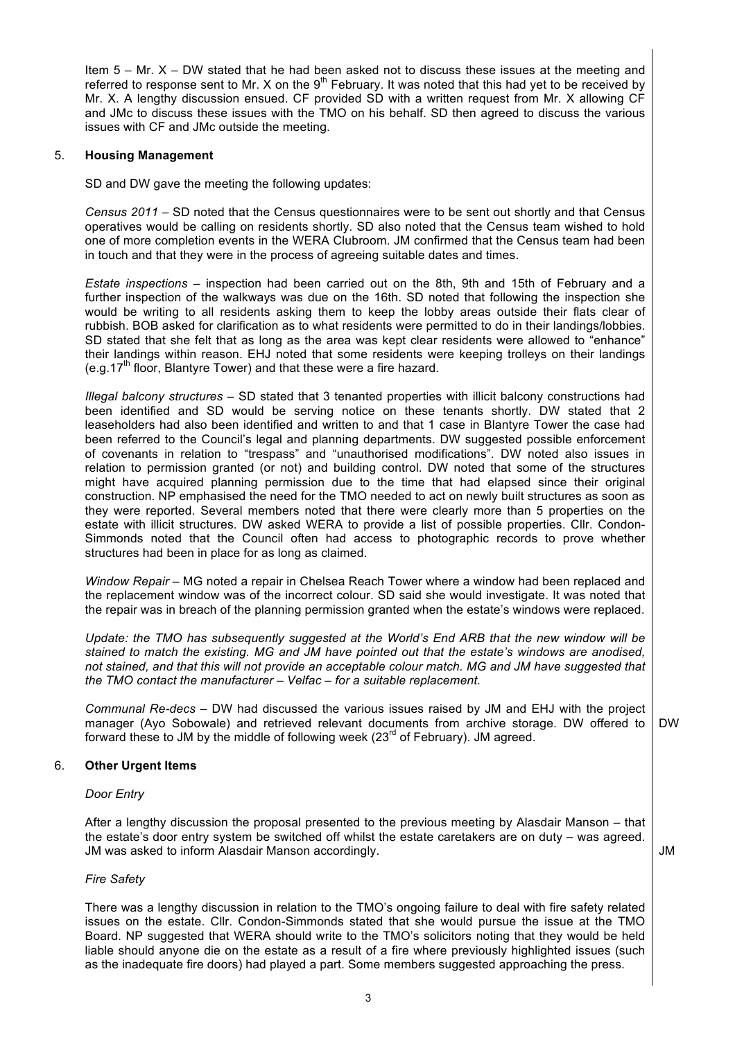Item  $5 - Mr. X - DW stated that he had been asked not to discuss these issues at the meeting and$ referred to response sent to Mr. X on the  $9<sup>th</sup>$  February. It was noted that this had yet to be received by Mr. X. A lengthy discussion ensued. CF provided SD with a written request from Mr. X allowing CF and JMc to discuss these issues with the TMO on his behalf. SD then agreed to discuss the various issues with CF and JMc outside the meeting.

#### 5. **Housing Management**

SD and DW gave the meeting the following updates:

*Census 2011* – SD noted that the Census questionnaires were to be sent out shortly and that Census operatives would be calling on residents shortly. SD also noted that the Census team wished to hold one of more completion events in the WERA Clubroom. JM confirmed that the Census team had been in touch and that they were in the process of agreeing suitable dates and times.

*Estate inspections* – inspection had been carried out on the 8th, 9th and 15th of February and a further inspection of the walkways was due on the 16th. SD noted that following the inspection she would be writing to all residents asking them to keep the lobby areas outside their flats clear of rubbish. BOB asked for clarification as to what residents were permitted to do in their landings/lobbies. SD stated that she felt that as long as the area was kept clear residents were allowed to "enhance" their landings within reason. EHJ noted that some residents were keeping trolleys on their landings (e.g.17<sup>th</sup> floor, Blantyre Tower) and that these were a fire hazard.

*Illegal balcony structures* – SD stated that 3 tenanted properties with illicit balcony constructions had been identified and SD would be serving notice on these tenants shortly. DW stated that 2 leaseholders had also been identified and written to and that 1 case in Blantyre Tower the case had been referred to the Council's legal and planning departments. DW suggested possible enforcement of covenants in relation to "trespass" and "unauthorised modifications". DW noted also issues in relation to permission granted (or not) and building control. DW noted that some of the structures might have acquired planning permission due to the time that had elapsed since their original construction. NP emphasised the need for the TMO needed to act on newly built structures as soon as they were reported. Several members noted that there were clearly more than 5 properties on the estate with illicit structures. DW asked WERA to provide a list of possible properties. Cllr. Condon-Simmonds noted that the Council often had access to photographic records to prove whether structures had been in place for as long as claimed.

*Window Repair* – MG noted a repair in Chelsea Reach Tower where a window had been replaced and the replacement window was of the incorrect colour. SD said she would investigate. It was noted that the repair was in breach of the planning permission granted when the estate's windows were replaced.

*Update: the TMO has subsequently suggested at the World's End ARB that the new window will be stained to match the existing. MG and JM have pointed out that the estate's windows are anodised, not stained, and that this will not provide an acceptable colour match. MG and JM have suggested that the TMO contact the manufacturer – Velfac – for a suitable replacement.*

*Communal Re-decs* – DW had discussed the various issues raised by JM and EHJ with the project manager (Ayo Sobowale) and retrieved relevant documents from archive storage. DW offered to forward these to JM by the middle of following week  $(23<sup>rd</sup>$  of February). JM agreed. DW

#### 6. **Other Urgent Items**

#### *Door Entry*

After a lengthy discussion the proposal presented to the previous meeting by Alasdair Manson – that the estate's door entry system be switched off whilst the estate caretakers are on duty – was agreed. JM was asked to inform Alasdair Manson accordingly.

JM

# *Fire Safety*

There was a lengthy discussion in relation to the TMO's ongoing failure to deal with fire safety related issues on the estate. Cllr. Condon-Simmonds stated that she would pursue the issue at the TMO Board. NP suggested that WERA should write to the TMO's solicitors noting that they would be held liable should anyone die on the estate as a result of a fire where previously highlighted issues (such as the inadequate fire doors) had played a part. Some members suggested approaching the press.